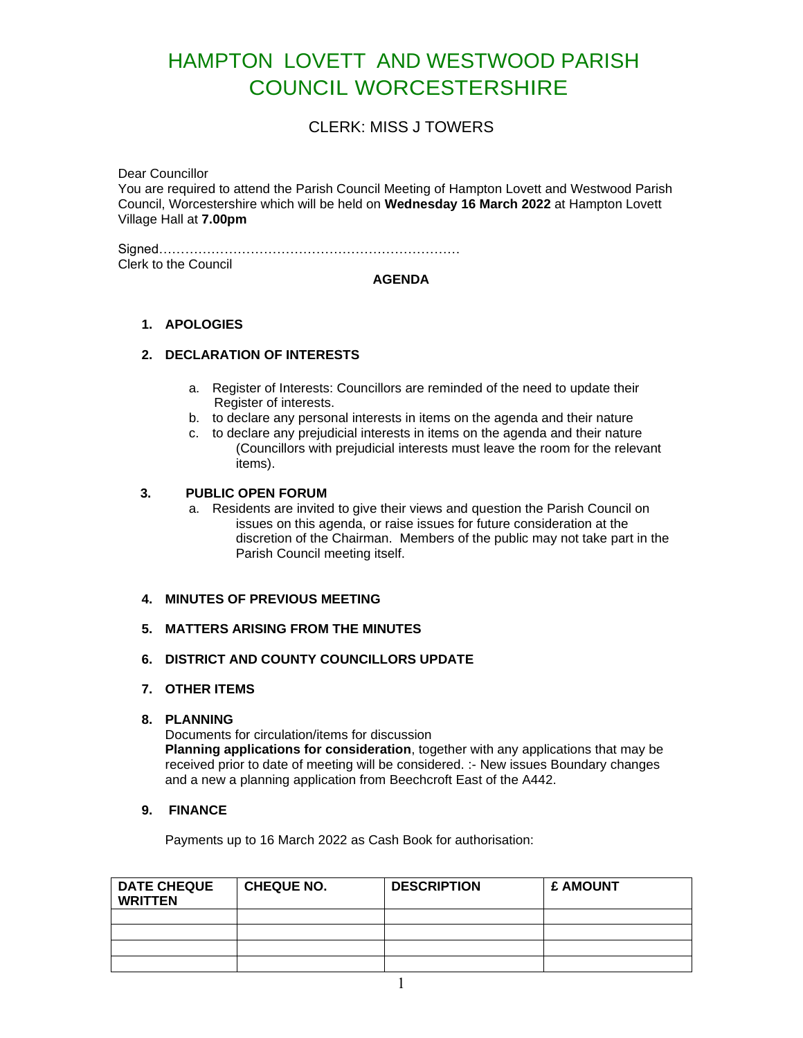# HAMPTON LOVETT AND WESTWOOD PARISH COUNCIL WORCESTERSHIRE

# CLERK: MISS J TOWERS

Dear Councillor

You are required to attend the Parish Council Meeting of Hampton Lovett and Westwood Parish Council, Worcestershire which will be held on **Wednesday 16 March 2022** at Hampton Lovett Village Hall at **7.00pm**

Signed…………………………………………………………… Clerk to the Council

#### **AGENDA**

## **1. APOLOGIES**

## **2. DECLARATION OF INTERESTS**

- a. Register of Interests: Councillors are reminded of the need to update their Register of interests.
- b. to declare any personal interests in items on the agenda and their nature
- c. to declare any prejudicial interests in items on the agenda and their nature (Councillors with prejudicial interests must leave the room for the relevant items).

## **3. PUBLIC OPEN FORUM**

- a. Residents are invited to give their views and question the Parish Council on issues on this agenda, or raise issues for future consideration at the discretion of the Chairman. Members of the public may not take part in the Parish Council meeting itself.
- **4. MINUTES OF PREVIOUS MEETING**
- **5. MATTERS ARISING FROM THE MINUTES**
- **6. DISTRICT AND COUNTY COUNCILLORS UPDATE**
- **7. OTHER ITEMS**

#### **8. PLANNING**

Documents for circulation/items for discussion **Planning applications for consideration**, together with any applications that may be received prior to date of meeting will be considered. :- New issues Boundary changes and a new a planning application from Beechcroft East of the A442.

## **9. FINANCE**

Payments up to 16 March 2022 as Cash Book for authorisation:

| <b>DATE CHEQUE</b><br><b>WRITTEN</b> | <b>CHEQUE NO.</b> | <b>DESCRIPTION</b> | £ AMOUNT |
|--------------------------------------|-------------------|--------------------|----------|
|                                      |                   |                    |          |
|                                      |                   |                    |          |
|                                      |                   |                    |          |
|                                      |                   |                    |          |